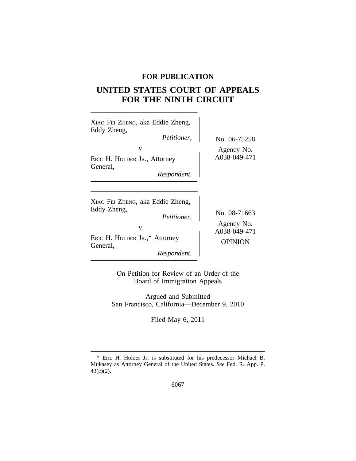# **FOR PUBLICATION**

# **UNITED STATES COURT OF APPEALS FOR THE NINTH CIRCUIT**

 $\overline{\phantom{a}}$ 

| XIAO FEI ZHENG, aka Eddie Zheng,<br>Eddy Zheng,<br><i>Petitioner,</i>                                                            | No. 06-75258                                                 |
|----------------------------------------------------------------------------------------------------------------------------------|--------------------------------------------------------------|
| V.<br>ERIC H. HOLDER JR., Attorney<br>General,<br>Respondent.                                                                    | Agency No.<br>A038-049-471                                   |
| XIAO FEI ZHENG, aka Eddie Zheng,<br>Eddy Zheng,<br>Petitioner,<br>V.<br>ERIC H. HOLDER JR.,* Attorney<br>General,<br>Respondent. | No. 08-71663<br>Agency No.<br>A038-049-471<br><b>OPINION</b> |

On Petition for Review of an Order of the Board of Immigration Appeals

Argued and Submitted San Francisco, California—December 9, 2010

Filed May 6, 2011

<sup>\*</sup> Eric H. Holder Jr. is substituted for his predecessor Michael B. Mukasey as Attorney General of the United States. *See* Fed. R. App. P. 43(c)(2).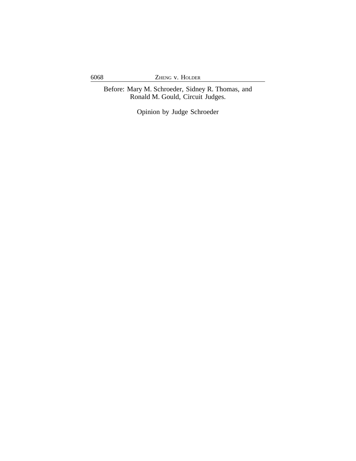6068 ZHENG v. HOLDER

Before: Mary M. Schroeder, Sidney R. Thomas, and Ronald M. Gould, Circuit Judges.

Opinion by Judge Schroeder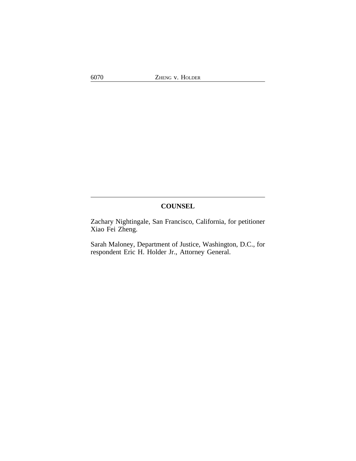# **COUNSEL**

Zachary Nightingale, San Francisco, California, for petitioner Xiao Fei Zheng.

Sarah Maloney, Department of Justice, Washington, D.C., for respondent Eric H. Holder Jr., Attorney General.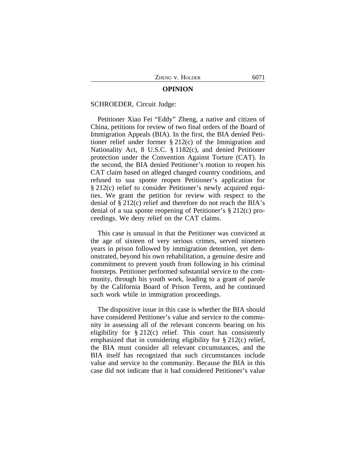#### **OPINION**

#### SCHROEDER, Circuit Judge:

Petitioner Xiao Fei "Eddy" Zheng, a native and citizen of China, petitions for review of two final orders of the Board of Immigration Appeals (BIA). In the first, the BIA denied Petitioner relief under former § 212(c) of the Immigration and Nationality Act, 8 U.S.C. § 1182(c), and denied Petitioner protection under the Convention Against Torture (CAT). In the second, the BIA denied Petitioner's motion to reopen his CAT claim based on alleged changed country conditions, and refused to sua sponte reopen Petitioner's application for § 212(c) relief to consider Petitioner's newly acquired equities. We grant the petition for review with respect to the denial of § 212(c) relief and therefore do not reach the BIA's denial of a sua sponte reopening of Petitioner's § 212(c) proceedings. We deny relief on the CAT claims.

This case is unusual in that the Petitioner was convicted at the age of sixteen of very serious crimes, served nineteen years in prison followed by immigration detention, yet demonstrated, beyond his own rehabilitation, a genuine desire and commitment to prevent youth from following in his criminal footsteps. Petitioner performed substantial service to the community, through his youth work, leading to a grant of parole by the California Board of Prison Terms, and he continued such work while in immigration proceedings.

The dispositive issue in this case is whether the BIA should have considered Petitioner's value and service to the community in assessing all of the relevant concerns bearing on his eligibility for § 212(c) relief. This court has consistently emphasized that in considering eligibility for § 212(c) relief, the BIA must consider all relevant circumstances, and the BIA itself has recognized that such circumstances include value and service to the community. Because the BIA in this case did not indicate that it had considered Petitioner's value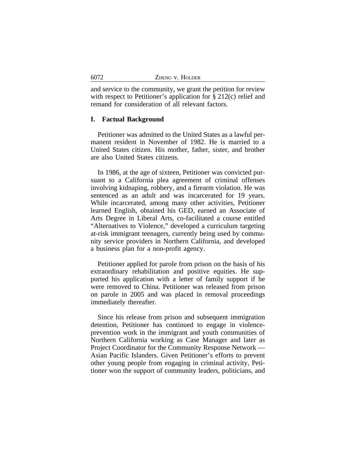| 6072 | ZHENG V. HOLDER |
|------|-----------------|
|      |                 |

and service to the community, we grant the petition for review with respect to Petitioner's application for § 212(c) relief and remand for consideration of all relevant factors.

#### **I. Factual Background**

Petitioner was admitted to the United States as a lawful permanent resident in November of 1982. He is married to a United States citizen. His mother, father, sister, and brother are also United States citizens.

In 1986, at the age of sixteen, Petitioner was convicted pursuant to a California plea agreement of criminal offenses involving kidnaping, robbery, and a firearm violation. He was sentenced as an adult and was incarcerated for 19 years. While incarcerated, among many other activities, Petitioner learned English, obtained his GED, earned an Associate of Arts Degree in Liberal Arts, co-facilitated a course entitled "Alternatives to Violence," developed a curriculum targeting at-risk immigrant teenagers, currently being used by community service providers in Northern California, and developed a business plan for a non-profit agency.

Petitioner applied for parole from prison on the basis of his extraordinary rehabilitation and positive equities. He supported his application with a letter of family support if he were removed to China. Petitioner was released from prison on parole in 2005 and was placed in removal proceedings immediately thereafter.

Since his release from prison and subsequent immigration detention, Petitioner has continued to engage in violenceprevention work in the immigrant and youth communities of Northern California working as Case Manager and later as Project Coordinator for the Community Response Network — Asian Pacific Islanders. Given Petitioner's efforts to prevent other young people from engaging in criminal activity, Petitioner won the support of community leaders, politicians, and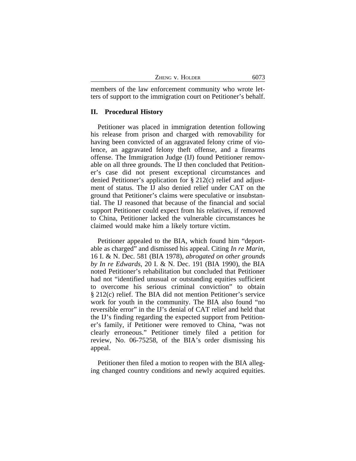| Zheng v. Holder | 6073 |
|-----------------|------|
|                 |      |

members of the law enforcement community who wrote letters of support to the immigration court on Petitioner's behalf.

#### **II. Procedural History**

Petitioner was placed in immigration detention following his release from prison and charged with removability for having been convicted of an aggravated felony crime of violence, an aggravated felony theft offense, and a firearms offense. The Immigration Judge (IJ) found Petitioner removable on all three grounds. The IJ then concluded that Petitioner's case did not present exceptional circumstances and denied Petitioner's application for § 212(c) relief and adjustment of status. The IJ also denied relief under CAT on the ground that Petitioner's claims were speculative or insubstantial. The IJ reasoned that because of the financial and social support Petitioner could expect from his relatives, if removed to China, Petitioner lacked the vulnerable circumstances he claimed would make him a likely torture victim.

Petitioner appealed to the BIA, which found him "deportable as charged" and dismissed his appeal. Citing *In re Marin*, 16 I. & N. Dec. 581 (BIA 1978), *abrogated on other grounds by In re Edwards*, 20 I. & N. Dec. 191 (BIA 1990), the BIA noted Petitioner's rehabilitation but concluded that Petitioner had not "identified unusual or outstanding equities sufficient to overcome his serious criminal conviction" to obtain § 212(c) relief. The BIA did not mention Petitioner's service work for youth in the community. The BIA also found "no reversible error" in the IJ's denial of CAT relief and held that the IJ's finding regarding the expected support from Petitioner's family, if Petitioner were removed to China, "was not clearly erroneous." Petitioner timely filed a petition for review, No. 06-75258, of the BIA's order dismissing his appeal.

Petitioner then filed a motion to reopen with the BIA alleging changed country conditions and newly acquired equities.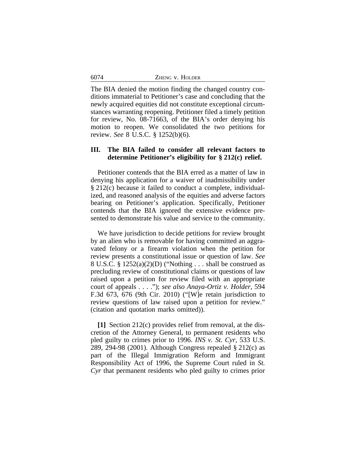| ZHENG V. HOLDER |
|-----------------|

The BIA denied the motion finding the changed country conditions immaterial to Petitioner's case and concluding that the newly acquired equities did not constitute exceptional circumstances warranting reopening. Petitioner filed a timely petition for review, No. 08-71663, of the BIA's order denying his motion to reopen. We consolidated the two petitions for review. *See* 8 U.S.C. § 1252(b)(6).

## **III. The BIA failed to consider all relevant factors to determine Petitioner's eligibility for § 212(c) relief.**

Petitioner contends that the BIA erred as a matter of law in denying his application for a waiver of inadmissibility under § 212(c) because it failed to conduct a complete, individualized, and reasoned analysis of the equities and adverse factors bearing on Petitioner's application. Specifically, Petitioner contends that the BIA ignored the extensive evidence presented to demonstrate his value and service to the community.

We have jurisdiction to decide petitions for review brought by an alien who is removable for having committed an aggravated felony or a firearm violation when the petition for review presents a constitutional issue or question of law. *See* 8 U.S.C. §  $1252(a)(2)(D)$  ("Nothing ... shall be construed as precluding review of constitutional claims or questions of law raised upon a petition for review filed with an appropriate court of appeals . . . ."); *see also Anaya-Ortiz v. Holder*, 594 F.3d 673, 676 (9th Cir. 2010) ("[W]e retain jurisdiction to review questions of law raised upon a petition for review." (citation and quotation marks omitted)).

**[1]** Section 212(c) provides relief from removal, at the discretion of the Attorney General, to permanent residents who pled guilty to crimes prior to 1996. *INS v. St. Cyr*, 533 U.S. 289, 294-98 (2001). Although Congress repealed § 212(c) as part of the Illegal Immigration Reform and Immigrant Responsibility Act of 1996, the Supreme Court ruled in *St. Cyr* that permanent residents who pled guilty to crimes prior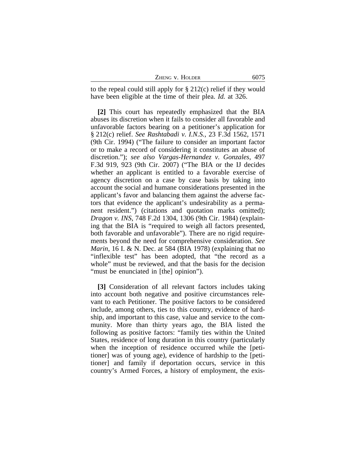ZHENG V. HOLDER 6075

to the repeal could still apply for § 212(c) relief if they would have been eligible at the time of their plea. *Id.* at 326.

**[2]** This court has repeatedly emphasized that the BIA abuses its discretion when it fails to consider all favorable and unfavorable factors bearing on a petitioner's application for § 212(c) relief. *See Rashtabadi v. I.N.S.*, 23 F.3d 1562, 1571 (9th Cir. 1994) ("The failure to consider an important factor or to make a record of considering it constitutes an abuse of discretion."); *see also Vargas-Hernandez v. Gonzales*, 497 F.3d 919, 923 (9th Cir. 2007) ("The BIA or the IJ decides whether an applicant is entitled to a favorable exercise of agency discretion on a case by case basis by taking into account the social and humane considerations presented in the applicant's favor and balancing them against the adverse factors that evidence the applicant's undesirability as a permanent resident.") (citations and quotation marks omitted); *Dragon v. INS*, 748 F.2d 1304, 1306 (9th Cir. 1984) (explaining that the BIA is "required to weigh all factors presented, both favorable and unfavorable"). There are no rigid requirements beyond the need for comprehensive consideration. *See Marin*, 16 I. & N. Dec. at 584 (BIA 1978) (explaining that no "inflexible test" has been adopted, that "the record as a whole" must be reviewed, and that the basis for the decision "must be enunciated in [the] opinion").

**[3]** Consideration of all relevant factors includes taking into account both negative and positive circumstances relevant to each Petitioner. The positive factors to be considered include, among others, ties to this country, evidence of hardship, and important to this case, value and service to the community. More than thirty years ago, the BIA listed the following as positive factors: "family ties within the United States, residence of long duration in this country (particularly when the inception of residence occurred while the [petitioner] was of young age), evidence of hardship to the [petitioner] and family if deportation occurs, service in this country's Armed Forces, a history of employment, the exis-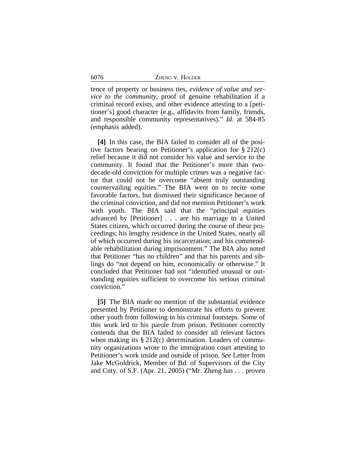| 6076 | ZHENG V. HOLDER |  |
|------|-----------------|--|
|      |                 |  |

tence of property or business ties, *evidence of value and service to the community*, proof of genuine rehabilitation if a criminal record exists, and other evidence attesting to a [petitioner's] good character (e.g., affidavits from family, friends, and responsible community representatives)." *Id.* at 584-85 (emphasis added).

**[4]** In this case, the BIA failed to consider all of the positive factors bearing on Petitioner's application for  $\S 212(c)$ relief because it did not consider his value and service to the community. It found that the Petitioner's more than twodecade-old conviction for multiple crimes was a negative factor that could not be overcome "absent truly outstanding countervailing equities." The BIA went on to recite some favorable factors, but dismissed their significance because of the criminal conviction, and did not mention Petitioner's work with youth. The BIA said that the "principal equities advanced by [Petitioner] . . . are his marriage to a United States citizen, which occurred during the course of these proceedings; his lengthy residence in the United States, nearly all of which occurred during his incarceration; and his commendable rehabilitation during imprisonment." The BIA also noted that Petitioner "has no children" and that his parents and siblings do "not depend on him, economically or otherwise." It concluded that Petitioner had not "identified unusual or outstanding equities sufficient to overcome his serious criminal conviction."

**[5]** The BIA made no mention of the substantial evidence presented by Petitioner to demonstrate his efforts to prevent other youth from following in his criminal footsteps. Some of this work led to his parole from prison. Petitioner correctly contends that the BIA failed to consider all relevant factors when making its § 212(c) determination. Leaders of community organizations wrote to the immigration court attesting to Petitioner's work inside and outside of prison. *See* Letter from Jake McGoldrick, Member of Bd. of Supervisors of the City and Cnty. of S.F. (Apr. 21, 2005) ("Mr. Zheng has . . . proven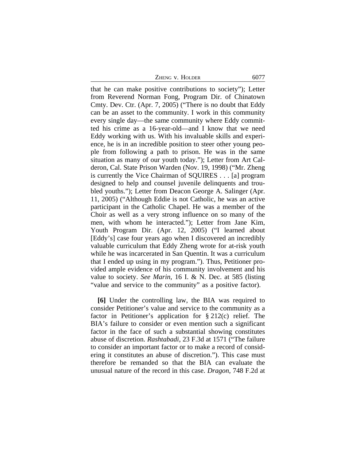ZHENG V. HOLDER 6077

that he can make positive contributions to society"); Letter from Reverend Norman Fong, Program Dir. of Chinatown Cmty. Dev. Ctr. (Apr. 7, 2005) ("There is no doubt that Eddy can be an asset to the community. I work in this community every single day—the same community where Eddy committed his crime as a 16-year-old—and I know that we need Eddy working with us. With his invaluable skills and experience, he is in an incredible position to steer other young people from following a path to prison. He was in the same situation as many of our youth today."); Letter from Art Calderon, Cal. State Prison Warden (Nov. 19, 1998) ("Mr. Zheng is currently the Vice Chairman of SQUIRES . . . [a] program designed to help and counsel juvenile delinquents and troubled youths."); Letter from Deacon George A. Salinger (Apr. 11, 2005) ("Although Eddie is not Catholic, he was an active participant in the Catholic Chapel. He was a member of the Choir as well as a very strong influence on so many of the men, with whom he interacted."); Letter from Jane Kim, Youth Program Dir. (Apr. 12, 2005) ("I learned about [Eddy's] case four years ago when I discovered an incredibly valuable curriculum that Eddy Zheng wrote for at-risk youth while he was incarcerated in San Quentin. It was a curriculum that I ended up using in my program."). Thus, Petitioner provided ample evidence of his community involvement and his value to society. *See Marin*, 16 I. & N. Dec. at 585 (listing "value and service to the community" as a positive factor).

**[6]** Under the controlling law, the BIA was required to consider Petitioner's value and service to the community as a factor in Petitioner's application for § 212(c) relief. The BIA's failure to consider or even mention such a significant factor in the face of such a substantial showing constitutes abuse of discretion. *Rashtabadi*, 23 F.3d at 1571 ("The failure to consider an important factor or to make a record of considering it constitutes an abuse of discretion."). This case must therefore be remanded so that the BIA can evaluate the unusual nature of the record in this case. *Dragon*, 748 F.2d at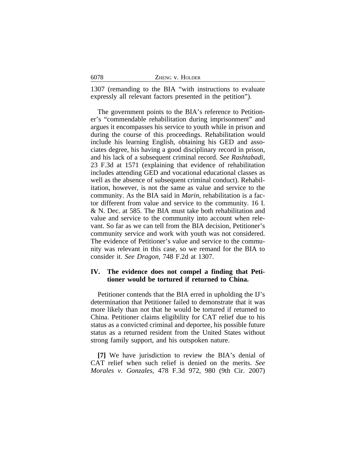| 6078 | ZHENG V. HOLDER |
|------|-----------------|
|      |                 |

1307 (remanding to the BIA "with instructions to evaluate expressly all relevant factors presented in the petition").

The government points to the BIA's reference to Petitioner's "commendable rehabilitation during imprisonment" and argues it encompasses his service to youth while in prison and during the course of this proceedings. Rehabilitation would include his learning English, obtaining his GED and associates degree, his having a good disciplinary record in prison, and his lack of a subsequent criminal record. *See Rashtabadi*, 23 F.3d at 1571 (explaining that evidence of rehabilitation includes attending GED and vocational educational classes as well as the absence of subsequent criminal conduct). Rehabilitation, however, is not the same as value and service to the community. As the BIA said in *Marin*, rehabilitation is a factor different from value and service to the community. 16 I. & N. Dec. at 585. The BIA must take both rehabilitation and value and service to the community into account when relevant. So far as we can tell from the BIA decision, Petitioner's community service and work with youth was not considered. The evidence of Petitioner's value and service to the community was relevant in this case, so we remand for the BIA to consider it. *See Dragon*, 748 F.2d at 1307.

# **IV. The evidence does not compel a finding that Petitioner would be tortured if returned to China.**

Petitioner contends that the BIA erred in upholding the IJ's determination that Petitioner failed to demonstrate that it was more likely than not that he would be tortured if returned to China. Petitioner claims eligibility for CAT relief due to his status as a convicted criminal and deportee, his possible future status as a returned resident from the United States without strong family support, and his outspoken nature.

**[7]** We have jurisdiction to review the BIA's denial of CAT relief when such relief is denied on the merits. *See Morales v. Gonzales*, 478 F.3d 972, 980 (9th Cir. 2007)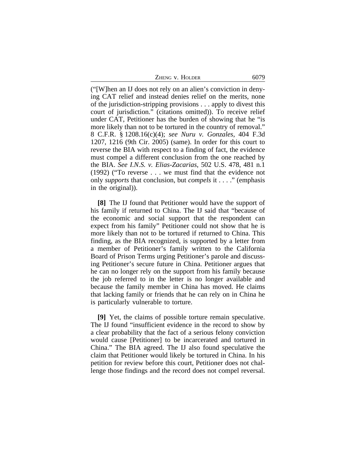ZHENG V. HOLDER 6079

("[W]hen an IJ does not rely on an alien's conviction in denying CAT relief and instead denies relief on the merits, none of the jurisdiction-stripping provisions . . . apply to divest this court of jurisdiction." (citations omitted)). To receive relief under CAT, Petitioner has the burden of showing that he "is more likely than not to be tortured in the country of removal." 8 C.F.R. § 1208.16(c)(4); *see Nuru v. Gonzales*, 404 F.3d 1207, 1216 (9th Cir. 2005) (same). In order for this court to reverse the BIA with respect to a finding of fact, the evidence must compel a different conclusion from the one reached by the BIA. *See I.N.S. v. Elias-Zacarias*, 502 U.S. 478, 481 n.1 (1992) ("To reverse . . . we must find that the evidence not only *supports* that conclusion, but *compels* it . . . ." (emphasis in the original)).

**[8]** The IJ found that Petitioner would have the support of his family if returned to China. The IJ said that "because of the economic and social support that the respondent can expect from his family" Petitioner could not show that he is more likely than not to be tortured if returned to China. This finding, as the BIA recognized, is supported by a letter from a member of Petitioner's family written to the California Board of Prison Terms urging Petitioner's parole and discussing Petitioner's secure future in China. Petitioner argues that he can no longer rely on the support from his family because the job referred to in the letter is no longer available and because the family member in China has moved. He claims that lacking family or friends that he can rely on in China he is particularly vulnerable to torture.

**[9]** Yet, the claims of possible torture remain speculative. The IJ found "insufficient evidence in the record to show by a clear probability that the fact of a serious felony conviction would cause [Petitioner] to be incarcerated and tortured in China." The BIA agreed. The IJ also found speculative the claim that Petitioner would likely be tortured in China. In his petition for review before this court, Petitioner does not challenge those findings and the record does not compel reversal.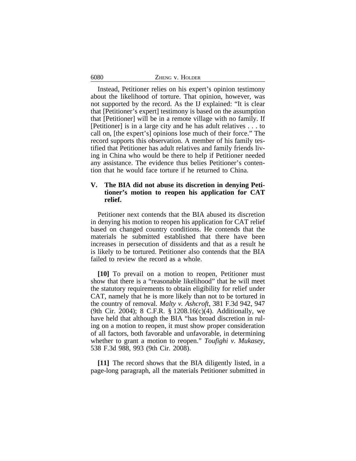| ZHENG V. HOLDER |  |
|-----------------|--|
|-----------------|--|

6080

Instead, Petitioner relies on his expert's opinion testimony about the likelihood of torture. That opinion, however, was not supported by the record. As the IJ explained: "It is clear that [Petitioner's expert] testimony is based on the assumption that [Petitioner] will be in a remote village with no family. If [Petitioner] is in a large city and he has adult relatives . . . to call on, [the expert's] opinions lose much of their force." The record supports this observation. A member of his family testified that Petitioner has adult relatives and family friends living in China who would be there to help if Petitioner needed any assistance. The evidence thus belies Petitioner's contention that he would face torture if he returned to China.

### **V. The BIA did not abuse its discretion in denying Petitioner's motion to reopen his application for CAT relief.**

Petitioner next contends that the BIA abused its discretion in denying his motion to reopen his application for CAT relief based on changed country conditions. He contends that the materials he submitted established that there have been increases in persecution of dissidents and that as a result he is likely to be tortured. Petitioner also contends that the BIA failed to review the record as a whole.

**[10]** To prevail on a motion to reopen, Petitioner must show that there is a "reasonable likelihood" that he will meet the statutory requirements to obtain eligibility for relief under CAT, namely that he is more likely than not to be tortured in the country of removal. *Malty v. Ashcroft*, 381 F.3d 942, 947 (9th Cir. 2004); 8 C.F.R. § 1208.16(c)(4). Additionally, we have held that although the BIA "has broad discretion in ruling on a motion to reopen, it must show proper consideration of all factors, both favorable and unfavorable, in determining whether to grant a motion to reopen." *Toufighi v. Mukasey*, 538 F.3d 988, 993 (9th Cir. 2008).

**[11]** The record shows that the BIA diligently listed, in a page-long paragraph, all the materials Petitioner submitted in